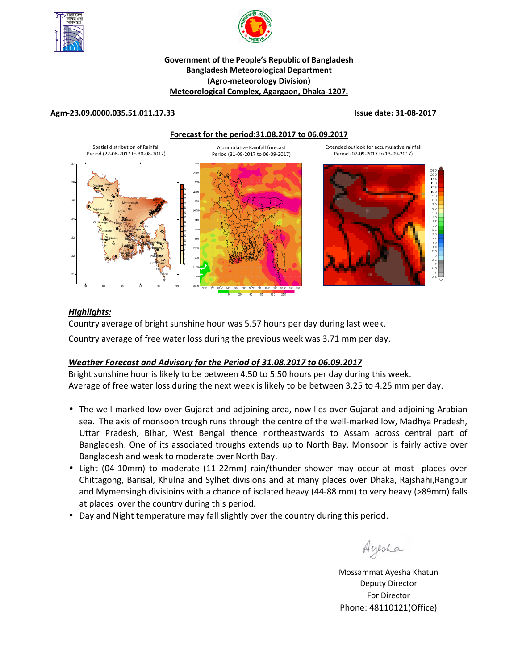



# **Government of the People's Republic of Bangladesh Bangladesh Meteorological Department (Agro-meteorology Division) Meteorological Complex, Agargaon, Dhaka-1207.**

### **Agm-23.09.0000.035.51.011.17.33 Issue date: 31-08-2017**

**Forecast for the period:31.08.2017 to 06.09.2017**





## *Highlights:*

Country average of bright sunshine hour was 5.57 hours per day during last week.

Country average of free water loss during the previous week was 3.71 mm per day.

# *Weather Forecast and Advisory for the Period of 31.08.2017 to 06.09.2017*

Bright sunshine hour is likely to be between 4.50 to 5.50 hours per day during this week. Average of free water loss during the next week is likely to be between 3.25 to 4.25 mm per day.

- The well-marked low over Gujarat and adjoining area, now lies over Gujarat and adjoining Arabian sea. The axis of monsoon trough runs through the centre of the well-marked low, Madhya Pradesh, Uttar Pradesh, Bihar, West Bengal thence northeastwards to Assam across central part of Bangladesh. One of its associated troughs extends up to North Bay. Monsoon is fairly active over Bangladesh and weak to moderate over North Bay.
- Light (04-10mm) to moderate (11-22mm) rain/thunder shower may occur at most places over Chittagong, Barisal, Khulna and Sylhet divisions and at many places over Dhaka, Rajshahi,Rangpur and Mymensingh divisioins with a chance of isolated heavy (44-88 mm) to very heavy (>89mm) falls at places over the country during this period.
- Day and Night temperature may fall slightly over the country during this period.

Ayesha

**N.B** Mossammat Ayesha Khatun Deputy Director For Director Phone: 48110121(Office)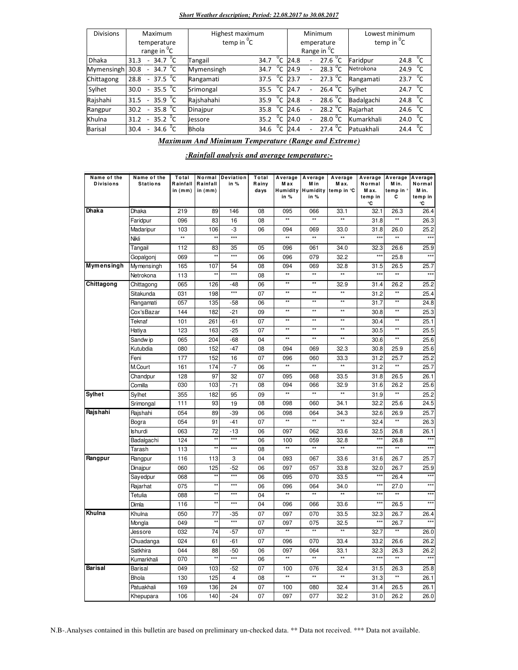#### *Short Weather description; Period: 22.08.2017 to 30.08.2017*

| <b>Divisions</b> | Maximum                                               |  | Highest maximum   |                |      |                          | Minimum                 |            | Lowest minimum    |  |  |
|------------------|-------------------------------------------------------|--|-------------------|----------------|------|--------------------------|-------------------------|------------|-------------------|--|--|
|                  | temperature                                           |  | temp in ${}^{0}C$ |                |      |                          | emperature              |            | temp in ${}^{0}C$ |  |  |
|                  | range in <sup>o</sup> C                               |  |                   |                |      |                          | Range in <sup>o</sup> C |            |                   |  |  |
| <b>Dhaka</b>     | 34.7 $^{\circ}$ C<br>31.3<br>$\overline{\phantom{a}}$ |  | Tangail           | $^0$ C<br>34.7 | 24.8 | $\overline{\phantom{0}}$ | 27.6 $^{\circ}$ C       | Faridpur   | 24.8 $^{0}$ C     |  |  |
| Mymensingh       | 34.7 $\mathrm{C}$<br>30.8                             |  | Mymensingh        | $^0$ C<br>34.7 | 24.9 |                          | 28.3 $^{\circ}$ C       | Netrokona  | 24.9 $^{0}C$      |  |  |
| Chittagong       | 37.5 $\mathrm{^{0}C}$<br>28.8<br>$\sim$               |  | Rangamati         | $^0$ C<br>37.5 | 23.7 | $\sim$                   | 27.3 $\mathrm{^0C}$     | Rangamati  | 23.7 $^{\circ}$ C |  |  |
| Sylhet           | 35.5 $\sqrt[6]{C}$<br>30.0                            |  | Srimongal         | $^0C$<br>35.5  | 24.7 | $\overline{\phantom{0}}$ | 26.4 $^{\circ}$ C       | Sylhet     | 24.7 $^{\circ}$ C |  |  |
| Rajshahi         | 35.9 $\sqrt[6]{C}$<br>31.5                            |  | Rajshahahi        | $^0$ C<br>35.9 | 24.8 |                          | 28.6 $^{0}$ C           | Badalgachi | $^0$ C<br>24.8    |  |  |
| Rangpur          | 35.8 $\overline{C}$<br>30.2                           |  | Dinajpur          | $^0C$<br>35.8  | 24.6 |                          | 28.2 $\mathrm{^0C}$     | Rajarhat   | 24.6 $^{0}C$      |  |  |
| Khulna           | 35.2 $^{0}$ C<br>31.2                                 |  | Jessore           | $^0C$<br>35.2  | 24.0 |                          | 28.0 $\degree$ C        | Kumarkhali | $^0$ C<br>24.0    |  |  |
| <b>Barisal</b>   | 34.6 $^{0}C$<br>30.4<br>$\overline{\phantom{a}}$      |  | <b>Bhola</b>      | $^0$ C<br>34.6 | 24.4 |                          | 27.4 °C                 | Patuakhali | $^0C$<br>24.4     |  |  |

*Maximum And Minimum Temperature (Range and Extreme)*

*:Rainfall analysis and average temperature:-*

| Name of the<br><b>Divisions</b> | Name of the<br><b>Stations</b> | Total<br>Rainfall | Rainfall        | Normal Deviation<br>in $%$ | Total<br>Rainy | Average<br>Max  | Average<br>M in | Average<br>Max. | Average<br>Normal | Average<br>Min.    | Average<br>Normal |
|---------------------------------|--------------------------------|-------------------|-----------------|----------------------------|----------------|-----------------|-----------------|-----------------|-------------------|--------------------|-------------------|
|                                 |                                | in (mm)           | in (mm)         |                            | days           | Humidity        | <b>Humidity</b> | temp in °C      | Max.              | temp in '          | M in.             |
|                                 |                                |                   |                 |                            |                | in $%$          | in $%$          |                 | temp in<br>۰c     | c                  | temp in<br>۰C     |
| Dhaka                           | Dhaka                          | 219               | 89              | 146                        | 08             | 095             | 066             | 33.1            | 32.1              | 26.3               | 26.4              |
|                                 | Faridpur                       | 096               | 83              | 16                         | 08             | $\star\star$    | $\star\star$    | $\star\star$    | 31.8              | $\star\star$       | 26.3              |
|                                 | Madaripur                      | 103               | 106             | -3                         | 06             | 094             | 069             | 33.0            | 31.8              | 26.0               | 25.2              |
|                                 | Nikli                          | $\star\star$      | $\star\star$    | ***                        |                | $\star\star$    | $\star\star$    | $\star\star$    | ***               | $\overline{\star}$ | $***$             |
|                                 | Tangail                        | 112               | 83              | 35                         | 05             | 096             | 061             | 34.0            | 32.3              | 26.6               | 25.9              |
|                                 | Gopalgoni                      | 069               | **              | $***$                      | 06             | 096             | 079             | 32.2            | $***$             | 25.8               | $***$             |
| Mymensingh                      | Mymensingh                     | 165               | 107             | 54                         | 08             | 094             | 069             | 32.8            | 31.5              | 26.5               | 25.7              |
|                                 | Netrokona                      | 113               | $\star\star$    | $***$                      | 08             | $\star\star$    | $\star\star$    | $\star\star$    | $***$             | $\star\star$       | $***$             |
| Chittagong                      | Chittagong                     | 065               | 126             | $-48$                      | 06             | **              | $\star\star$    | 32.9            | 31.4              | 26.2               | 25.2              |
|                                 | Sitakunda                      | 031               | 198             | $***$                      | 07             | **              | $\star\star$    | $\star\star$    | 31.2              | $\star\star$       | 25.4              |
|                                 | Rangamati                      | 057               | 135             | $-58$                      | 06             | **              | $\star\star$    | $\star\star$    | 31.7              | $\star\star$       | 24.8              |
|                                 | Cox'sBazar                     | 144               | 182             | $-21$                      | 09             | $\star\star$    | $***$           | $\star\star$    | 30.8              | $\star\star$       | 25.3              |
|                                 | Teknaf                         | 101               | 261             | $-61$                      | 07             | $\star\star$    | $\star\star$    | $^{\star\star}$ | 30.4              | $^{\star\star}$    | 25.1              |
|                                 | Hatiya                         | 123               | 163             | $-25$                      | 07             | $\star\star$    | $\overline{}$   | $\star\star$    | 30.5              | $\star\star$       | 25.5              |
|                                 | Sandw ip                       | 065               | 204             | $-68$                      | 04             | $^{\star\star}$ | $\star\star$    | $^{\star\star}$ | 30.6              | $\star\star$       | 25.6              |
|                                 | Kutubdia                       | 080               | 152             | $-47$                      | 08             | 094             | 069             | 32.3            | 30.8              | 25.9               | 25.6              |
|                                 | Feni                           | 177               | 152             | 16                         | 07             | 096             | 060             | 33.3            | 31.2              | 25.7               | 25.2              |
|                                 | M.Court                        | 161               | 174             | $-7$                       | 06             | $\star\star$    | $\star\star$    | $^{\star\star}$ | 31.2              | $\star\star$       | 25.7              |
|                                 | Chandpur                       | 128               | 97              | 32                         | 07             | 095             | 068             | 33.5            | 31.8              | 26.5               | 26.1              |
|                                 | Comilla                        | 030               | 103             | $-71$                      | 08             | 094             | 066             | 32.9            | 31.6              | 26.2               | 25.6              |
| Sylhet                          | Sylhet                         | 355               | 182             | 95                         | 09             | **              | $\overline{1}$  | $\star\star$    | 31.9              | **                 | 25.2              |
|                                 | Srimongal                      | 111               | 93              | 19                         | 08             | 098             | 060             | 34.1            | 32.2              | 25.6               | 24.5              |
| Rajshahi                        | Rajshahi                       | 054               | 89              | $-39$                      | 06             | 098             | 064             | 34.3            | 32.6              | 26.9               | 25.7              |
|                                 | Bogra                          | 054               | 91              | $-41$                      | 07             | $\star\star$    | $\star\star$    | $\star\star$    | 32.4              | $\star\star$       | 26.3              |
|                                 | <b>Ishurdi</b>                 | 063               | 72              | $-13$                      | 06             | 097             | 062             | 33.6            | 32.5              | 26.8               | 26.1              |
|                                 | Badalgachi                     | 124               | $\star\star$    | $***$                      | 06             | 100             | 059             | 32.8            | $***$             | 26.8               | $***$             |
|                                 | Tarash                         | 113               | $\star\star$    | $***$                      | 08             | **              | **              | $\star\star$    | $***$             | **                 | $***$             |
| Rangpur                         | Rangpur                        | 116               | 113             | 3                          | 04             | 093             | 067             | 33.6            | 31.6              | 26.7               | 25.7              |
|                                 | Dinajpur                       | 060               | 125             | $-52$                      | 06             | 097             | 057             | 33.8            | 32.0              | 26.7               | 25.9              |
|                                 | Sayedpur                       | 068               | $\star\star$    | $***$                      | 06             | 095             | 070             | 33.5            | $***$             | 26.4               | $***$             |
|                                 | Rajarhat                       | 075               | **              | ***                        | 06             | 096             | 064             | 34.0            | $\star\star\star$ | 27.0               | $***$             |
|                                 | Tetulia                        | 088               | $\star\star$    | $***$                      | 04             | $\star\star$    | $\star\star$    | $**$            | $***$             | $\star\star$       | $***$             |
|                                 | Dimla                          | 116               | $\overline{**}$ | $***$                      | 04             | 096             | 066             | 33.6            | $***$             | 26.5               | $***$             |
| Khulna                          | Khulna                         | 050               | 77              | $-35$                      | 07             | 097             | 070             | 33.5            | 32.3              | 26.7               | 26.4              |
|                                 | Mongla                         | 049               | $\star\star$    | $***$                      | 07             | 097             | 075             | 32.5            | ***               | 26.7               | $\star\star$      |
|                                 | Jessore                        | 032               | 74              | $-57$                      | 07             | $\star\star$    | $\star\star$    | $\star\star$    | 32.7              | $\star\star$       | 26.0              |
|                                 | Chuadanga                      | 024               | 61              | -61                        | 07             | 096             | 070             | 33.4            | 33.2              | 26.6               | 26.2              |
|                                 | Satkhira                       | 044               | 88              | $-50$                      | 06             | 097             | 064             | 33.1            | 32.3              | 26.3               | 26.2              |
|                                 | Kumarkhali                     | 070               | ××              | $***$                      | 06             | $\overline{**}$ | $\star\star$    | $\star\star$    | $***$             | $\star\star$       | $***$             |
| <b>Barisal</b>                  | Barisal                        | 049               | 103             | $-52$                      | 07             | 100             | 076             | 32.4            | 31.5              | 26.3               | 25.8              |
|                                 | <b>Bhola</b>                   | 130               | 125             | 4                          | 08             | **              | $\star\star$    | $^{\star\star}$ | 31.3              | $\star\star$       | 26.1              |
|                                 | Patuakhali                     | 169               | 136             | 24                         | 07             | 100             | 080             | 32.4            | 31.4              | 26.5               | 26.1              |
|                                 | Khepupara                      | 106               | 140             | $-24$                      | 07             | 097             | 077             | 32.2            | 31.0              | 26.2               | 26.0              |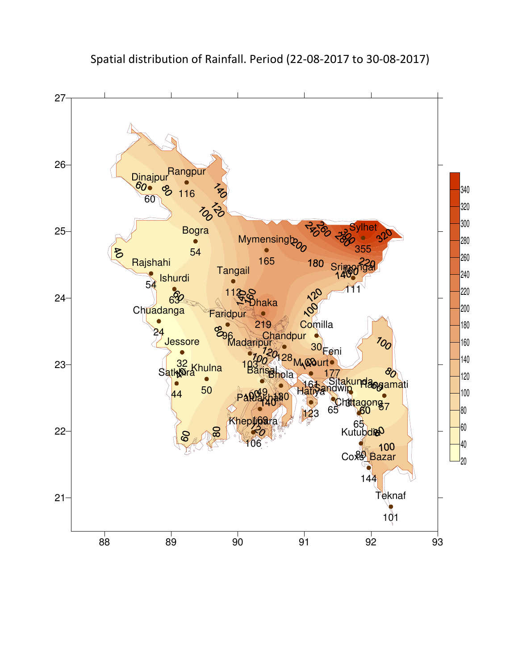

Spatial distribution of Rainfall. Period (22-08-2017 to 30-08-2017)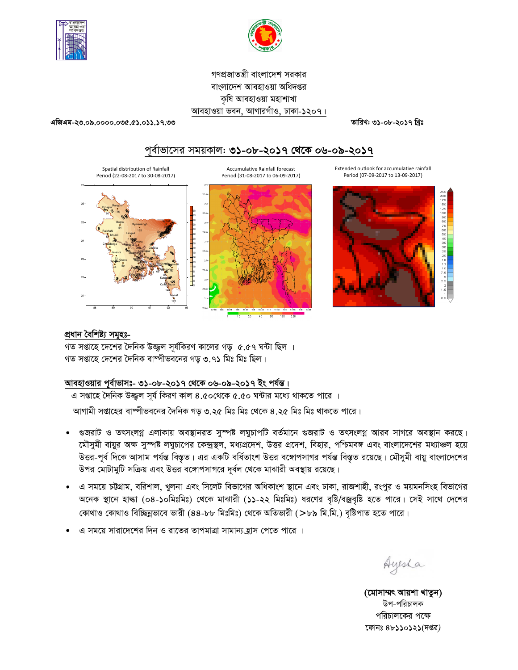



গণপ্রজাতন্ত্রী বাংলাদেশ সরকার বাংলাদেশ আবহাওয়া অধিদপ্তর কৃষি আবহাওয়া মহাশাখা আবহাওয়া ভবন, আগারগাঁও, ঢাকা-১২০৭।

এজিএম-২৩.০৯.০০০০.০৩৫.৫১.০১১.১৭.৩৩

তারিখ: ৩১-০৮-২০১৭ খ্রিঃ

# পূর্বাভাসের সময়কাল: ৩১-০৮-২০১৭ থেকে ০৬-০৯-২০১৭

Spatial distribution of Rainfall **Accumulative Rainfall forecast** Extended outlook for accumulative rainfall Period (07-09-2017 to 13-09-2017) Period (22-08-2017 to 30-08-2017) Period (31-08-2017 to 06-09-2017)

# প্ৰধান বৈশিষ্ট্য সমূহঃ-

গত সপ্তাহে দেশের দৈনিক উজ্জ্বল সূর্যকিরণ কালের গড় ৫.৫৭ ঘন্টা ছিল । গত সপ্তাহে দেশের দৈনিক বাষ্পীভবনের গড় ৩.৭১ মিঃ মিঃ ছিল।

# <u> আবহাওয়ার পূর্বাভাসঃ- ৩১-০৮-২০১৭ থেকে ০৬-০৯-২০১৭ ইং পর্যন্ত।</u>

এ সপ্তাহে দৈনিক উজ্জুল সূর্য কিরণ কাল ৪.৫০থেকে ৫.৫০ ঘন্টার মধ্যে থাকতে পারে । আগামী সপ্তাহের বাষ্পীভবনের দৈনিক গড় ৩.২৫ মিঃ মিঃ থেকে ৪.২৫ মিঃ মিঃ থাকতে পারে।

- গুজরাট ও তৎসংলগ্ন এলাকায় অবস্থানরত সুস্পষ্ট লঘুচাপটি বর্তমানে গুজরাট ও তৎসংলগ্ন আরব সাগরে অবস্থান করছে।  $\bullet$ মৌসুমী বায়ুর অক্ষ সুস্পষ্ট লঘুচাপের কেন্দ্রস্থল, মধ্যপ্রদেশ, উত্তর প্রদেশ, বিহার, পশ্চিমবঙ্গ এবং বাংলাদেশের মধ্যাঞ্চল হয়ে উত্তর-পূর্ব দিকে আসাম পর্যন্ত বিস্তৃত। এর একটি বর্ধিতাংশ উত্তর বঙ্গোপসাগর পর্যন্ত বিস্তৃত রয়েছে। মৌসুমী বায়ু বাংলাদেশের উপর মোটামুটি সক্রিয় এবং উত্তর বঙ্গোপসাগরে দূর্বল থেকে মাঝারী অবস্থায় রয়েছে।
- ্এ সময়ে চট্টগ্রাম, বরিশাল, খুলনা এবং সিলেট বিভাগের অধিকাংশ স্থানে এবং ঢাকা, রাজশাহী, রংপুর ও ময়মনসিংহ বিভাগের  $\bullet$ অনেক স্থানে হাল্কা (০৪-১০মিঃমিঃ) থেকে মাঝারী (১১-২২ মিঃমিঃ) ধরণের বৃষ্টি/বজ্রবৃষ্টি হতে পারে। সেই সাথে দেশের কোথাও কোথাও বিচ্ছিন্নভাবে ভারী (৪৪-৮৮ মিঃমিঃ) থেকে অতিভারী (>৮৯ মি.মি.) বৃষ্টিপাত হতে পারে।
- এ সময়ে সারাদেশের দিন ও রাতের তাপমাত্রা সামান্য হ্রাস পেতে পারে ।

Ayesha

(মোসাম্মৎ আয়শা খাতুন) উপ-পরিচালক পরিচালকের পক্ষে ফোনঃ ৪৮১১০১২১(দপ্তর)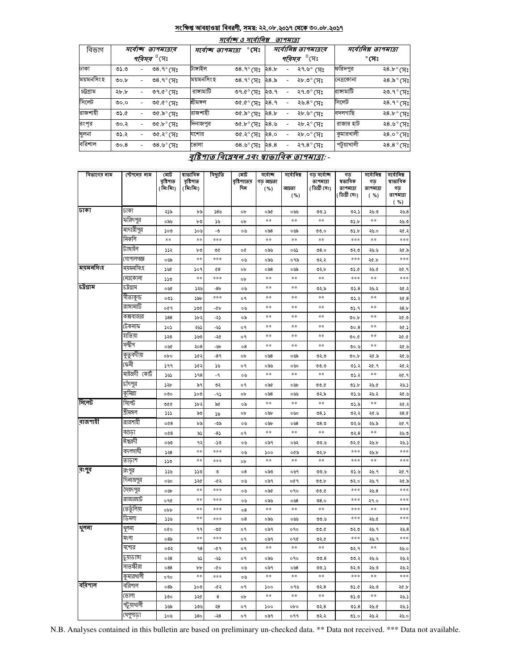### সংক্ষিপ্ত আবহাওয়া বিবরণী, সময়: ২২.০৮.২০১৭ থেকে ৩০.০৮.২০১৭

| সর্বোনিম্ন তাপমাত্রা<br>বিভাগ<br>সর্বোনিম্ন তাপমাত্রার<br>$^{\circ}$ সেঃ<br>সৰ্বোচ্ছ তাপমাত্ৰাৰ<br>সৰ্বোচ্ছ তাপমাত্ৰা<br>$^{\rm 0}$ সেঃ<br><i>পরিসর <sup>৩</sup></i> সেঃ<br>পরিসর<br>$^\circ$ সেঃ<br>ফরিদপুর<br>টাঙ্গাইল<br>ঢাকা<br>৩৪.৭ $^{\circ}$ সেঃ<br>৩৪.৭ $^{\circ}$ সেঃ<br>0.0<br>২৭.৬° সেঃ<br>২৪.৮<br>۰<br>$\overline{\phantom{0}}$<br>ময়মনসিংহ<br>ময়মনসিংহ<br>৩৪.৭ $^{\circ}$ সেঃ<br>৩৪.৭ $^{\circ}$ (সঃ<br>28.5<br>২৮.৩° সেঃ<br>নেত্রকোনা<br>00.b<br>۰<br>চট্টগ্ৰাম<br>রাঙ্গামাটি<br>রাসামাটি<br>৩৭.৫ $^{\circ}$ (সঃ<br>৩৭.৫ $^{\circ}$ সেঃ<br>২৭.৩° সেঃ<br>২৮.৮<br>২৩.৭<br>Ξ.<br>٠<br>সিলেট<br>সিলেট<br>শ্ৰীমঙ্গল<br>$\mathcal{C}(\mathcal{C}) \cap \mathcal{C}$<br>৩৫.৫° সেঃ<br>28.9<br>২৬.৪ $^{\circ}$ সেঃ<br>0.0<br>۰<br>রাজশাহী<br>বদলগাছি<br>রাজশাহী<br>৩৫.৯° সেঃ<br>0.60<br>৩৫.৯ $^{\circ}$ সেঃ<br>28.5<br>২৮.৬° সেঃ<br>রংপৃর<br>রাজার হাট<br>দিনাজপুর<br>৩৫.৮° সেঃ<br>৩৫.৮° সেঃ<br>২৪.৬<br>২৮.২° সেঃ<br>00.5<br>۰<br>কুমারখালী<br>খুলনা<br>28.0<br>৩১.২<br>যশোর<br>৩৫.২° সেঃ<br>৩৫.২° সেঃ<br>২৮.০° সেঃ<br>٠<br>বরিশাল<br>পটুয়াখালী<br>28.8<br>৩৪.৬ $^{\circ}$ (সঃ<br>ভোলা<br>৩৪.৬ $^{\circ}$ (সঃ<br>২৭.৪ $^{\circ}$ সেঃ<br>00.8<br>۰ |  | मार्वाष्क् 3 मार्वानिब्र<br>তাপমাত্রা |  |  |  |  |  |  |  |                     |  |  |  |  |
|-----------------------------------------------------------------------------------------------------------------------------------------------------------------------------------------------------------------------------------------------------------------------------------------------------------------------------------------------------------------------------------------------------------------------------------------------------------------------------------------------------------------------------------------------------------------------------------------------------------------------------------------------------------------------------------------------------------------------------------------------------------------------------------------------------------------------------------------------------------------------------------------------------------------------------------------------------------------------------------------------------------------------------------------------------------------------------------------------------------------------------------------------------------|--|---------------------------------------|--|--|--|--|--|--|--|---------------------|--|--|--|--|
|                                                                                                                                                                                                                                                                                                                                                                                                                                                                                                                                                                                                                                                                                                                                                                                                                                                                                                                                                                                                                                                                                                                                                           |  |                                       |  |  |  |  |  |  |  |                     |  |  |  |  |
|                                                                                                                                                                                                                                                                                                                                                                                                                                                                                                                                                                                                                                                                                                                                                                                                                                                                                                                                                                                                                                                                                                                                                           |  |                                       |  |  |  |  |  |  |  |                     |  |  |  |  |
|                                                                                                                                                                                                                                                                                                                                                                                                                                                                                                                                                                                                                                                                                                                                                                                                                                                                                                                                                                                                                                                                                                                                                           |  |                                       |  |  |  |  |  |  |  | ২8 ৮° সেঃ           |  |  |  |  |
|                                                                                                                                                                                                                                                                                                                                                                                                                                                                                                                                                                                                                                                                                                                                                                                                                                                                                                                                                                                                                                                                                                                                                           |  |                                       |  |  |  |  |  |  |  | ২৪.৯° সেঃ           |  |  |  |  |
|                                                                                                                                                                                                                                                                                                                                                                                                                                                                                                                                                                                                                                                                                                                                                                                                                                                                                                                                                                                                                                                                                                                                                           |  |                                       |  |  |  |  |  |  |  | ২৩.৭° সেঃ           |  |  |  |  |
|                                                                                                                                                                                                                                                                                                                                                                                                                                                                                                                                                                                                                                                                                                                                                                                                                                                                                                                                                                                                                                                                                                                                                           |  |                                       |  |  |  |  |  |  |  | ২৪.৭ $^{\circ}$ (সঃ |  |  |  |  |
|                                                                                                                                                                                                                                                                                                                                                                                                                                                                                                                                                                                                                                                                                                                                                                                                                                                                                                                                                                                                                                                                                                                                                           |  |                                       |  |  |  |  |  |  |  | ২8 ৮° সেঃ           |  |  |  |  |
|                                                                                                                                                                                                                                                                                                                                                                                                                                                                                                                                                                                                                                                                                                                                                                                                                                                                                                                                                                                                                                                                                                                                                           |  |                                       |  |  |  |  |  |  |  | ২৪.৬° সেঃ           |  |  |  |  |
|                                                                                                                                                                                                                                                                                                                                                                                                                                                                                                                                                                                                                                                                                                                                                                                                                                                                                                                                                                                                                                                                                                                                                           |  |                                       |  |  |  |  |  |  |  | ২8.০° সেঃ           |  |  |  |  |
|                                                                                                                                                                                                                                                                                                                                                                                                                                                                                                                                                                                                                                                                                                                                                                                                                                                                                                                                                                                                                                                                                                                                                           |  |                                       |  |  |  |  |  |  |  | ২ $8.8^{\circ}$ (সঃ |  |  |  |  |

#### <u> বৃষ্টিপাত বিশ্লেষন এবং স্বাভাবিক তাপমাত্রা: -</u>

| বিভাগের নাম | স্টেশনের নাম     | মোট<br>বৃষ্টিপাত<br>(মিঃমিঃ) | ষাভাবিক<br>বৃষ্টিশাত<br>(মিঃমিঃ) | বিছ্যুতি | মোট<br>বৃষ্টিশাতের<br>দিন | সৰ্বোচ্ছ<br>গড আদ্রতা<br>( %) | সৰ্বোনিম্ন<br>আদ্ৰতা | গড সৰ্বোচ্ছ<br>তাপমাত্রা<br>(ডিগ্ৰী সেঃ) | গড<br>ষভাবিক<br>তাপমাত্রা | সৰ্বোনিম্ন<br>গড<br>তাপমাত্রা | সৰ্বোনিম্ন<br>ষাভাবিক<br>গড় |
|-------------|------------------|------------------------------|----------------------------------|----------|---------------------------|-------------------------------|----------------------|------------------------------------------|---------------------------|-------------------------------|------------------------------|
|             |                  |                              |                                  |          |                           |                               | ( %)                 |                                          | (ডিগ্ৰী সেঃ)              | $(*)$                         | তাপমাত্রা<br>(%)             |
| जका         | ঢাকা             | ২১৯                          | ৮৯                               | 58%      | ob                        | ০৯৫                           | ০৬৬                  | ৩৩.১                                     | ৩২.১                      | ২৬.৩                          | 20.8                         |
|             | ফরিদপুর          | ০৯৬                          | ৮৩                               | ১৬       | ob                        | **                            | **                   | **                                       | ৩১.৮                      | **                            | ২৬.৩                         |
|             | মাদারীপুর        | ১০৩                          | ১০৬                              | -৩       | ০৬                        | ০৯৪                           | ০৬৯                  | 00.0                                     | ৩১.৮                      | ২৬.০                          | ২৫.২                         |
|             | নিকলি            | $**$                         | $**$                             | ***      |                           | $**$                          | **                   | $**$                                     | ***                       | **                            | ***                          |
|             | টাঙ্গাইল         | ১১২                          | ৮৩                               | ৩৫       | o¢                        | ০৯৬                           | ০৬১                  | 08.0                                     | ৩২.৩                      | ২৬.৬                          | ২৫.৯                         |
|             | <u>গোপালগজ্ঞ</u> | ০৬৯                          | $**$                             | ***      | ০৬                        | ০৯৬                           | ০৭৯                  | ७२.२                                     | ***                       | ২৫.৮                          | ***                          |
| ময়মনসিংহ   | ময়মনসিংহ        | ১৬৫                          | ১০৭                              | $^{68}$  | ob                        | ০৯৪                           | ০৬৯                  | ৩২.৮                                     | ৩১.৫                      | ২৬.৫                          | ২৫.৭                         |
|             | নেত্ৰকোনা        | ১১৩                          | $**$                             | ***      | ob                        | $* *$                         | $**$                 | $**$                                     | ***                       | $\ast\ast$                    | ***                          |
| চট্টগ্ৰাম   | ঢট্ৰগ্ৰাম        | ০৬৫                          | ১২৬                              | -8৮      | ০৬                        | $* *$                         | **                   | ৩২.৯                                     | 05.8                      | ২৬.২                          | ২৫.২                         |
|             | সীতাকুন্ড        | ০৩১                          | ১৯৮                              | ***      | о۹                        | $* *$                         | **                   | $**$                                     | د.ده                      | $* *$                         | ২৫.8                         |
|             | রাঙ্গামাটি       | ०৫१                          | ১৩৫                              | -46      | ০৬                        | **                            | **                   | **                                       | 05.9                      | **                            | 28.5                         |
|             | কক্সবাজার        | 588                          | ১৮২                              | -২১      | ০৯                        | $* *$                         | **                   | **                                       | 00.b                      | **                            | ২৫.৩                         |
|             | টেকনাফ           | ১০১                          | ২৬১                              | -৬১      | o٩                        | $* *$                         | $\ast\ast$           | $**$                                     | 00.8                      | **                            | ২৫.১                         |
|             | হাতিয়া          | ১২৩                          | ১৬৩                              | -২৫      | o٩                        | **                            | $\ast\ast$           | $**$                                     | ৩০.৫                      | **                            | ১.৩২                         |
|             | সন্দ্বীপ         | ০৬৫                          | ২০৪                              | -95      | 08                        | $* *$                         | **                   | $\ast\ast$                               | り0 い                      | $\ast\ast$                    | ২৫.৬                         |
|             | কুতুবদীয়া       | opo                          | ১৫২                              | $-89$    | ob                        | ০৯৪                           | ০৬৯                  | ৩২৩                                      | 00.b                      | ২৫.৯                          | ২৫.৬                         |
|             | কেনী             | 99                           | ১৫২                              | ১৬       | o٩                        | ০৯৬                           | ০৬০                  | 00.0                                     | 05.3                      | ২৫.৭                          | ২৫.২                         |
|             | মাইজদী কোর্ট     | ১৬১                          | 398                              | -9       | ০৬                        | $* *$                         | $**$                 | $\ast\ast$                               | ৩১.২                      | $\ast\ast$                    | ২৫.৭                         |
|             | চাদপুর           | ১২৮                          | ৯৭                               | ৩২       | о۹                        | ০৯৫                           | ০৬৮                  | ৩৩.৫                                     | ৩১.৮                      | ২৬.৫                          | ২৬.১                         |
|             | কুমিল্লা         | ೲ                            | ১০৩                              | -95      | ob                        | ০৯৪                           | ০৬৬                  | ৩২.৯                                     | 0.5.5                     | ২৬.২                          | ২৫.৬                         |
| সিলেট       | সিলেট            | 900                          | ১৮২                              | ৯৫       | ০৯                        | $* *$                         | **                   | **                                       | ৩১.৯                      | **                            | ২৫.২                         |
|             | শ্ৰীমঙ্গল        | 335                          | ৯৩                               | ১৯       | ob                        | ০৯৮                           | ০৬০                  | 08.5                                     | ৩২.২                      | ২৫.৬                          | 28.0                         |
| রাজশাহী     | রাজশাহী          | 0@8                          | ৮৯                               | -৩৯      | ০৬                        | ০৯৮                           | ০৬৪                  | 08.0                                     | 02.6                      | ২৬.৯                          | ২৫.৭                         |
|             | বগুডা            | 0@8                          | ৯১                               | -85      | о۹                        | $* *$                         | $\ast\ast$           | $\ast\ast$                               | 02.8                      | $\ast\ast$                    | ২৬.৩                         |
|             | ঈশ্বরদী          | 0.99                         | ৭২                               | -১৩      | ০৬                        | ০৯৭                           | ০৬২                  | ৩৩.৬                                     | ৩২.৫                      | ২৬.৮                          | ২৬.১                         |
|             | বদলগাঘী          | 558                          | **                               | ***      | ০৬                        | 500                           | ০৫৯                  | ৩২.৮                                     | ***                       | ২৬.৮                          | ***                          |
|             | তাডাশ            | ১১৩                          | **                               | ***      | ob                        | $* *$                         | **                   | $\ast\ast$                               | ***                       | $\ast\ast$                    | ***                          |
| রংপুব       | রংপুর            | ১১৬                          | ১১৩                              | ৩        | 08                        | ০৯৩                           | ০৬৭                  | ৩৩.৬                                     | 0.5.5                     | ২৬.৭                          | ২৫.৭                         |
|             | দিনাজপুর         | ০৬০                          | ১২৫                              | -৫২      | ০৬                        | ০৯৭                           | ०৫१                  | 00.b                                     | ৩২.০                      | ২৬.৭                          | ২৫.৯                         |
|             | সৈয়দপুর         | ০৬৮                          | $**$                             | ***      | ০৬                        | ০৯৫                           | ०१०                  | 00.0                                     | ***                       | 20.8                          | ***                          |
|             | রাজারহাট         | ०१৫                          | **                               | ***      | ০৬                        | ০৯৬                           | 0.58                 | 08.0                                     | ***                       | ২৭.০                          | ***                          |
|             | তেতুঁলিয়া       | opp                          | $**$                             | ***      | 08                        | **                            | **                   | $\ast\ast$                               | ***                       | **                            | ***                          |
|             | ডিমলা            | ১১৬                          | $**$                             | ***      | 08                        | ০৯৬                           | ০৬৬                  | ৩৩.৬                                     | ***                       | ২৬.৫                          | ***                          |
| থুলনা       | থুলনা            | oQo                          | ۹۹                               | -৩৫      | о۹                        | ०৯१                           | 090                  | 00.6                                     | ৩২.৩                      | ২৬.৭                          | 20.8                         |
|             | মংলা             | ০8৯                          | $* *$                            | ***      | о۹                        | ০৯৭                           | ०१৫                  | ৩২.৫                                     | ***                       | ২৬.৭                          | ***                          |
|             | যশোর             | ০৩২                          | 98                               | $-0.9$   | o۹                        | $**$                          | $\ast\ast$           | $\ast\ast$                               | 02.9                      | $\ast\ast$                    | 0.40                         |
|             | চুয়াডাঙ্গা      | ०२8                          | ৬১                               | -৬১      | о۹                        | ০৯৬                           | ०१०                  | 00.8                                     | ৩৩.২                      | ২৬.৬                          | ২৬.২                         |
|             | সাতক্ষীরা        | 088                          | bþ                               | -00      | ০৬                        | ०৯१                           | ০৬৪                  | ৩৩.১                                     | ৩২.৩                      | ২৬.৩                          | ২৬.২                         |
|             | কুমারথালী        | ०१०                          | $**$                             | ***      | ০৬                        | $\ast\ast$                    | $***$                | $***$                                    | ***                       | $\ast\ast$                    | ***                          |
| ববিশাল      | বরিশাল           | 08 <sub>o</sub>              | ১০৩                              | -৫২      | о۹                        | ১০০                           | ০৭৬                  | ৩২.৪                                     | ৩১.৫                      | ২৬.৩                          | ২৫.৮                         |
|             | ভোলা             | ১৩০                          | ১২৫                              | 8        | ob                        | $* *$                         | $**$                 | $**$                                     | ৩১.৩                      | **                            | ২৬.১                         |
|             | পটুয়াথালী       | ১৬৯                          | ১৩৬                              | ২৪       | о۹                        | ১০০                           | opo                  | ৩২.৪                                     | 05.8                      | ২৬.৫                          | ২৬.১                         |
|             | খেপুপাড়া        | ১০৬                          | 580                              | -২8      | о۹                        | ०৯१                           | ०११                  | ৩২.২                                     | 05.0                      | ২৬.২                          | ২৬.০                         |

N.B. Analyses contained in this bulletin are based on preliminary un-checked data. \*\* Data not received. \*\*\* Data not available.